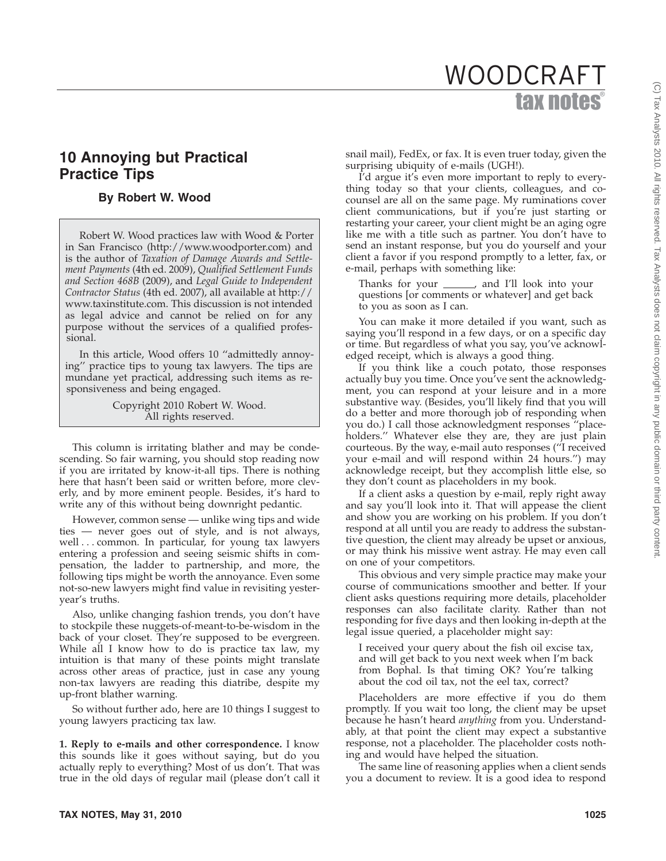# tax notes WOODCRAFT

# **10 Annoying but Practical Practice Tips**

## **By Robert W. Wood**

Robert W. Wood practices law with Wood & Porter in San Francisco (http://www.woodporter.com) and is the author of *Taxation of Damage Awards and Settlement Payments* (4th ed. 2009), *Qualified Settlement Funds and Section 468B* (2009), and *Legal Guide to Independent Contractor Status* (4th ed. 2007), all available at http:// www.taxinstitute.com. This discussion is not intended as legal advice and cannot be relied on for any purpose without the services of a qualified professional.

In this article, Wood offers 10 ''admittedly annoying'' practice tips to young tax lawyers. The tips are mundane yet practical, addressing such items as responsiveness and being engaged.

> Copyright 2010 Robert W. Wood. All rights reserved.

This column is irritating blather and may be condescending. So fair warning, you should stop reading now if you are irritated by know-it-all tips. There is nothing here that hasn't been said or written before, more cleverly, and by more eminent people. Besides, it's hard to write any of this without being downright pedantic.

However, common sense — unlike wing tips and wide ties — never goes out of style, and is not always, well . . . common. In particular, for young tax lawyers entering a profession and seeing seismic shifts in compensation, the ladder to partnership, and more, the following tips might be worth the annoyance. Even some not-so-new lawyers might find value in revisiting yesteryear's truths.

Also, unlike changing fashion trends, you don't have to stockpile these nuggets-of-meant-to-be-wisdom in the back of your closet. They're supposed to be evergreen. While all I know how to do is practice tax law, my intuition is that many of these points might translate across other areas of practice, just in case any young non-tax lawyers are reading this diatribe, despite my up-front blather warning.

So without further ado, here are 10 things I suggest to young lawyers practicing tax law.

**1. Reply to e-mails and other correspondence.** I know this sounds like it goes without saying, but do you actually reply to everything? Most of us don't. That was true in the old days of regular mail (please don't call it snail mail), FedEx, or fax. It is even truer today, given the surprising ubiquity of e-mails (UGH!).

I'd argue it's even more important to reply to everything today so that your clients, colleagues, and cocounsel are all on the same page. My ruminations cover client communications, but if you're just starting or restarting your career, your client might be an aging ogre like me with a title such as partner. You don't have to send an instant response, but you do yourself and your client a favor if you respond promptly to a letter, fax, or e-mail, perhaps with something like:

Thanks for your \_\_\_\_\_\_, and I'll look into your questions [or comments or whatever] and get back to you as soon as I can.

You can make it more detailed if you want, such as saying you'll respond in a few days, or on a specific day or time. But regardless of what you say, you've acknowledged receipt, which is always a good thing.

If you think like a couch potato, those responses actually buy you time. Once you've sent the acknowledgment, you can respond at your leisure and in a more substantive way. (Besides, you'll likely find that you will do a better and more thorough job of responding when you do.) I call those acknowledgment responses ''placeholders.'' Whatever else they are, they are just plain courteous. By the way, e-mail auto responses (''I received your e-mail and will respond within 24 hours.'') may acknowledge receipt, but they accomplish little else, so they don't count as placeholders in my book.

If a client asks a question by e-mail, reply right away and say you'll look into it. That will appease the client and show you are working on his problem. If you don't respond at all until you are ready to address the substantive question, the client may already be upset or anxious, or may think his missive went astray. He may even call on one of your competitors.

This obvious and very simple practice may make your course of communications smoother and better. If your client asks questions requiring more details, placeholder responses can also facilitate clarity. Rather than not responding for five days and then looking in-depth at the legal issue queried, a placeholder might say:

I received your query about the fish oil excise tax, and will get back to you next week when I'm back from Bophal. Is that timing OK? You're talking about the cod oil tax, not the eel tax, correct?

Placeholders are more effective if you do them promptly. If you wait too long, the client may be upset because he hasn't heard *anything* from you. Understandably, at that point the client may expect a substantive response, not a placeholder. The placeholder costs nothing and would have helped the situation.

The same line of reasoning applies when a client sends you a document to review. It is a good idea to respond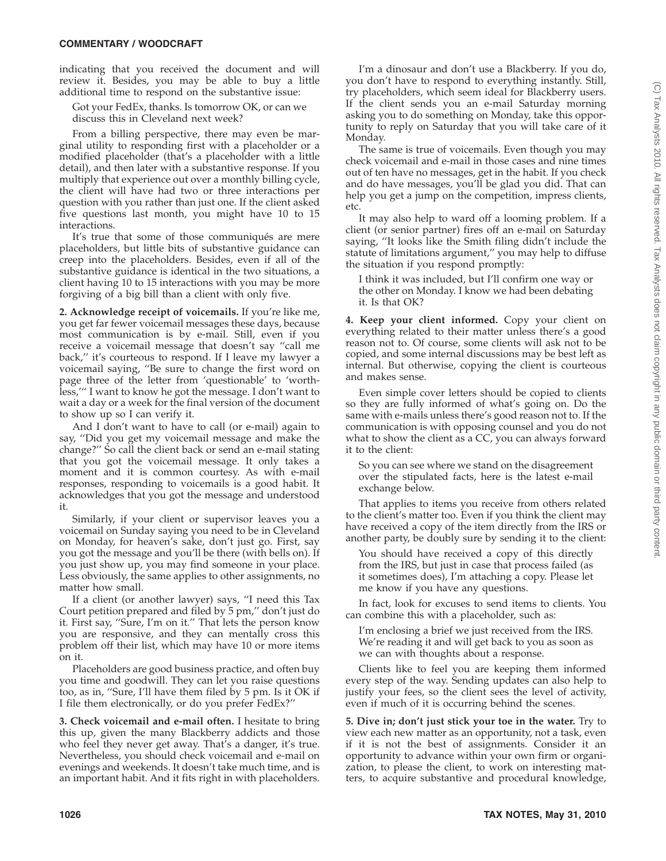Monday. The same is true of voicemails. Even though you may check voicemail and e-mail in those cases and nine times out of ten have no messages, get in the habit. If you check and do have messages, you'll be glad you did. That can help you get a jump on the competition, impress clients, etc.

It may also help to ward off a looming problem. If a client (or senior partner) fires off an e-mail on Saturday saying, ''It looks like the Smith filing didn't include the statute of limitations argument,'' you may help to diffuse the situation if you respond promptly:

I think it was included, but I'll confirm one way or the other on Monday. I know we had been debating it. Is that OK?

**4. Keep your client informed.** Copy your client on everything related to their matter unless there's a good reason not to. Of course, some clients will ask not to be copied, and some internal discussions may be best left as internal. But otherwise, copying the client is courteous and makes sense.

Even simple cover letters should be copied to clients so they are fully informed of what's going on. Do the same with e-mails unless there's good reason not to. If the communication is with opposing counsel and you do not what to show the client as a CC, you can always forward it to the client:

So you can see where we stand on the disagreement over the stipulated facts, here is the latest e-mail exchange below.

That applies to items you receive from others related to the client's matter too. Even if you think the client may have received a copy of the item directly from the IRS or another party, be doubly sure by sending it to the client:

You should have received a copy of this directly from the IRS, but just in case that process failed (as it sometimes does), I'm attaching a copy. Please let me know if you have any questions.

In fact, look for excuses to send items to clients. You can combine this with a placeholder, such as:

I'm enclosing a brief we just received from the IRS. We're reading it and will get back to you as soon as we can with thoughts about a response.

Clients like to feel you are keeping them informed every step of the way. Sending updates can also help to justify your fees, so the client sees the level of activity, even if much of it is occurring behind the scenes.

**5. Dive in; don't just stick your toe in the water.** Try to view each new matter as an opportunity, not a task, even if it is not the best of assignments. Consider it an opportunity to advance within your own firm or organization, to please the client, to work on interesting matters, to acquire substantive and procedural knowledge,

#### **COMMENTARY / WOODCRAFT**

indicating that you received the document and will review it. Besides, you may be able to buy a little additional time to respond on the substantive issue:

Got your FedEx, thanks. Is tomorrow OK, or can we discuss this in Cleveland next week?

From a billing perspective, there may even be marginal utility to responding first with a placeholder or a modified placeholder (that's a placeholder with a little detail), and then later with a substantive response. If you multiply that experience out over a monthly billing cycle, the client will have had two or three interactions per question with you rather than just one. If the client asked five questions last month, you might have 10 to 15 interactions.

It's true that some of those communiqués are mere placeholders, but little bits of substantive guidance can creep into the placeholders. Besides, even if all of the substantive guidance is identical in the two situations, a client having 10 to 15 interactions with you may be more forgiving of a big bill than a client with only five.

**2. Acknowledge receipt of voicemails.** If you're like me, you get far fewer voicemail messages these days, because most communication is by e-mail. Still, even if you receive a voicemail message that doesn't say ''call me back,'' it's courteous to respond. If I leave my lawyer a voicemail saying, ''Be sure to change the first word on page three of the letter from 'questionable' to 'worthless,''' I want to know he got the message. I don't want to wait a day or a week for the final version of the document to show up so I can verify it.

And I don't want to have to call (or e-mail) again to say, ''Did you get my voicemail message and make the change?'' So call the client back or send an e-mail stating that you got the voicemail message. It only takes a moment and it is common courtesy. As with e-mail responses, responding to voicemails is a good habit. It acknowledges that you got the message and understood it.

Similarly, if your client or supervisor leaves you a voicemail on Sunday saying you need to be in Cleveland on Monday, for heaven's sake, don't just go. First, say you got the message and you'll be there (with bells on). If you just show up, you may find someone in your place. Less obviously, the same applies to other assignments, no matter how small.

If a client (or another lawyer) says, ''I need this Tax Court petition prepared and filed by 5 pm,'' don't just do it. First say, ''Sure, I'm on it.'' That lets the person know you are responsive, and they can mentally cross this problem off their list, which may have 10 or more items on it.

Placeholders are good business practice, and often buy you time and goodwill. They can let you raise questions too, as in, ''Sure, I'll have them filed by 5 pm. Is it OK if I file them electronically, or do you prefer FedEx?''

**3. Check voicemail and e-mail often.** I hesitate to bring this up, given the many Blackberry addicts and those who feel they never get away. That's a danger, it's true. Nevertheless, you should check voicemail and e-mail on evenings and weekends. It doesn't take much time, and is an important habit. And it fits right in with placeholders.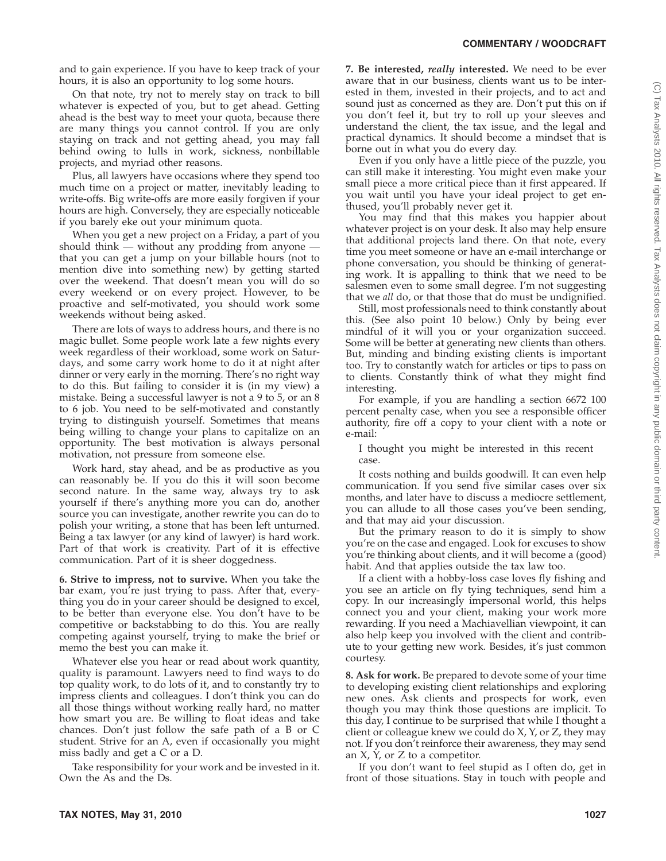and to gain experience. If you have to keep track of your hours, it is also an opportunity to log some hours.

On that note, try not to merely stay on track to bill whatever is expected of you, but to get ahead. Getting ahead is the best way to meet your quota, because there are many things you cannot control. If you are only staying on track and not getting ahead, you may fall behind owing to lulls in work, sickness, nonbillable projects, and myriad other reasons.

Plus, all lawyers have occasions where they spend too much time on a project or matter, inevitably leading to write-offs. Big write-offs are more easily forgiven if your hours are high. Conversely, they are especially noticeable if you barely eke out your minimum quota.

When you get a new project on a Friday, a part of you should think — without any prodding from anyone that you can get a jump on your billable hours (not to mention dive into something new) by getting started over the weekend. That doesn't mean you will do so every weekend or on every project. However, to be proactive and self-motivated, you should work some weekends without being asked.

There are lots of ways to address hours, and there is no magic bullet. Some people work late a few nights every week regardless of their workload, some work on Saturdays, and some carry work home to do it at night after dinner or very early in the morning. There's no right way to do this. But failing to consider it is (in my view) a mistake. Being a successful lawyer is not a 9 to 5, or an 8 to 6 job. You need to be self-motivated and constantly trying to distinguish yourself. Sometimes that means being willing to change your plans to capitalize on an opportunity. The best motivation is always personal motivation, not pressure from someone else.

Work hard, stay ahead, and be as productive as you can reasonably be. If you do this it will soon become second nature. In the same way, always try to ask yourself if there's anything more you can do, another source you can investigate, another rewrite you can do to polish your writing, a stone that has been left unturned. Being a tax lawyer (or any kind of lawyer) is hard work. Part of that work is creativity. Part of it is effective communication. Part of it is sheer doggedness.

**6. Strive to impress, not to survive.** When you take the bar exam, you're just trying to pass. After that, everything you do in your career should be designed to excel, to be better than everyone else. You don't have to be competitive or backstabbing to do this. You are really competing against yourself, trying to make the brief or memo the best you can make it.

Whatever else you hear or read about work quantity, quality is paramount. Lawyers need to find ways to do top quality work, to do lots of it, and to constantly try to impress clients and colleagues. I don't think you can do all those things without working really hard, no matter how smart you are. Be willing to float ideas and take chances. Don't just follow the safe path of a B or C student. Strive for an A, even if occasionally you might miss badly and get a C or a D.

Take responsibility for your work and be invested in it. Own the As and the Ds.

**7. Be interested,** *really* **interested.** We need to be ever aware that in our business, clients want us to be interested in them, invested in their projects, and to act and sound just as concerned as they are. Don't put this on if you don't feel it, but try to roll up your sleeves and understand the client, the tax issue, and the legal and practical dynamics. It should become a mindset that is borne out in what you do every day.

Even if you only have a little piece of the puzzle, you can still make it interesting. You might even make your small piece a more critical piece than it first appeared. If you wait until you have your ideal project to get enthused, you'll probably never get it.

You may find that this makes you happier about whatever project is on your desk. It also may help ensure that additional projects land there. On that note, every time you meet someone or have an e-mail interchange or phone conversation, you should be thinking of generating work. It is appalling to think that we need to be salesmen even to some small degree. I'm not suggesting that we *all* do, or that those that do must be undignified.

Still, most professionals need to think constantly about this. (See also point 10 below.) Only by being ever mindful of it will you or your organization succeed. Some will be better at generating new clients than others. But, minding and binding existing clients is important too. Try to constantly watch for articles or tips to pass on to clients. Constantly think of what they might find interesting.

For example, if you are handling a section 6672 100 percent penalty case, when you see a responsible officer authority, fire off a copy to your client with a note or e-mail:

I thought you might be interested in this recent case.

It costs nothing and builds goodwill. It can even help communication. If you send five similar cases over six months, and later have to discuss a mediocre settlement, you can allude to all those cases you've been sending, and that may aid your discussion.

But the primary reason to do it is simply to show you're on the case and engaged. Look for excuses to show you're thinking about clients, and it will become a (good) habit. And that applies outside the tax law too.

If a client with a hobby-loss case loves fly fishing and you see an article on fly tying techniques, send him a copy. In our increasingly impersonal world, this helps connect you and your client, making your work more rewarding. If you need a Machiavellian viewpoint, it can also help keep you involved with the client and contribute to your getting new work. Besides, it's just common courtesy.

**8. Ask for work.** Be prepared to devote some of your time to developing existing client relationships and exploring new ones. Ask clients and prospects for work, even though you may think those questions are implicit. To this day, I continue to be surprised that while I thought a client or colleague knew we could do X, Y, or Z, they may not. If you don't reinforce their awareness, they may send an  $X$ ,  $Y$ , or  $Z$  to a competitor.

If you don't want to feel stupid as I often do, get in front of those situations. Stay in touch with people and